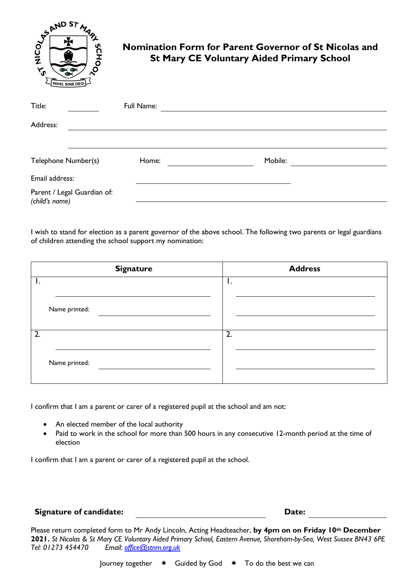

## **Nomination Form for Parent Governor of St Nicolas and St Mary CE Voluntary Aided Primary School**

| Title:                                        | Full Name: |         |  |
|-----------------------------------------------|------------|---------|--|
| Address:                                      |            |         |  |
|                                               |            |         |  |
| Telephone Number(s)                           | Home:      | Mobile: |  |
| Email address:                                |            |         |  |
| Parent / Legal Guardian of:<br>(child's name) |            |         |  |

I wish to stand for election as a parent governor of the above school. The following two parents or legal guardians of children attending the school support my nomination:

|    | <b>Signature</b> | <b>Address</b>   |
|----|------------------|------------------|
|    |                  | ι.               |
|    | Name printed:    |                  |
| 2. |                  | $\overline{2}$ . |
|    | Name printed:    |                  |

I confirm that I am a parent or carer of a registered pupil at the school and am not:

- An elected member of the local authority
- Paid to work in the school for more than 500 hours in any consecutive 12-month period at the time of election

I confirm that I am a parent or carer of a registered pupil at the school.

## **Signature of candidate: Date:**

Please return completed form to Mr Andy Lincoln, Acting Headteacher, **by 4pm on on Friday 10th December 2021.** *St Nicolas & St Mary CE Voluntary Aided Primary School, Eastern Avenue, Shoreham-by-Sea, West Sussex BN43 6PE Tel: 01273 454470 Email: [office@stnm.org.uk](mailto:office@stnm.org.uk)*